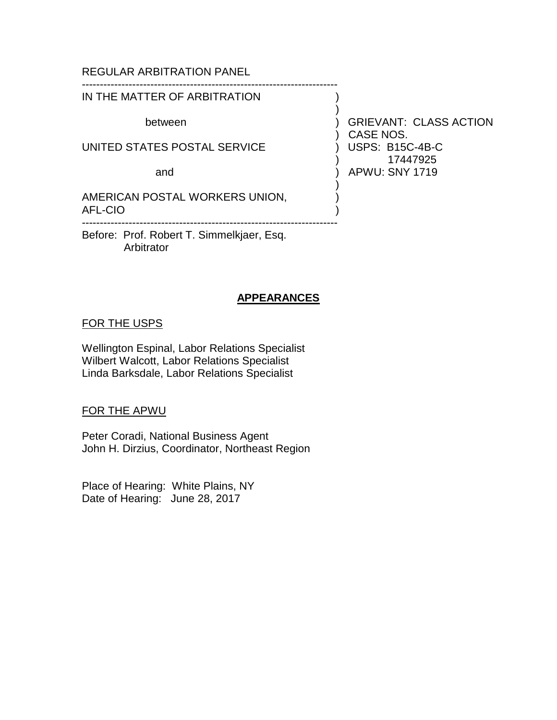# REGULAR ARBITRATION PANEL

### ----------------------------------------------------------------------- IN THE MATTER OF ARBITRATION

UNITED STATES POSTAL SERVICE ) USPS: B15C-4B-C

AMERICAN POSTAL WORKERS UNION, AFL-CIO ) -----------------------------------------------------------------------

Before: Prof. Robert T. Simmelkjaer, Esq. Arbitrator

### **APPEARANCES**

# FOR THE USPS

Wellington Espinal, Labor Relations Specialist Wilbert Walcott, Labor Relations Specialist Linda Barksdale, Labor Relations Specialist

### FOR THE APWU

Peter Coradi, National Business Agent John H. Dirzius, Coordinator, Northeast Region

Place of Hearing: White Plains, NY Date of Hearing: June 28, 2017

between ) GRIEVANT: CLASS ACTION ) CASE NOS. ) 17447925 and ) APWU: SNY 1719

)

)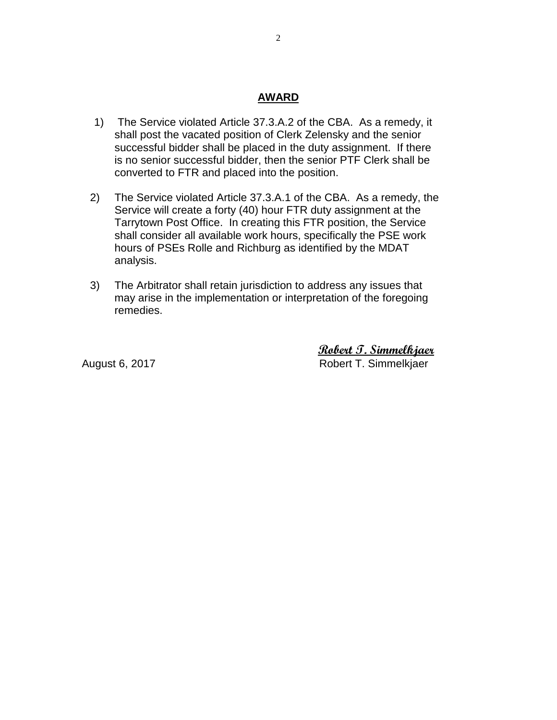# **AWARD**

- 1) The Service violated Article 37.3.A.2 of the CBA. As a remedy, it shall post the vacated position of Clerk Zelensky and the senior successful bidder shall be placed in the duty assignment. If there is no senior successful bidder, then the senior PTF Clerk shall be converted to FTR and placed into the position.
- 2) The Service violated Article 37.3.A.1 of the CBA. As a remedy, the Service will create a forty (40) hour FTR duty assignment at the Tarrytown Post Office. In creating this FTR position, the Service shall consider all available work hours, specifically the PSE work hours of PSEs Rolle and Richburg as identified by the MDAT analysis.
- 3) The Arbitrator shall retain jurisdiction to address any issues that may arise in the implementation or interpretation of the foregoing remedies.

 **Robert T. Simmelkjaer** August 6, 2017 **Robert T. Simmelkjaer**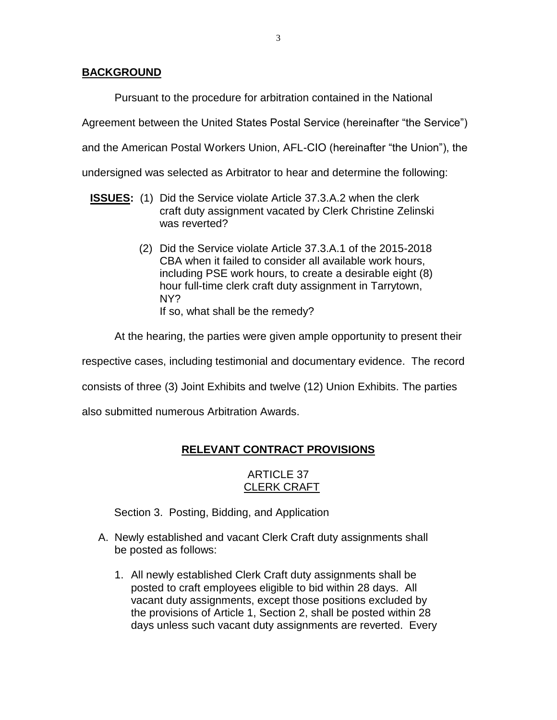# **BACKGROUND**

Pursuant to the procedure for arbitration contained in the National

Agreement between the United States Postal Service (hereinafter "the Service")

and the American Postal Workers Union, AFL-CIO (hereinafter "the Union"), the

undersigned was selected as Arbitrator to hear and determine the following:

- **ISSUES:** (1) Did the Service violate Article 37.3.A.2 when the clerk craft duty assignment vacated by Clerk Christine Zelinski was reverted?
	- (2) Did the Service violate Article 37.3.A.1 of the 2015-2018 CBA when it failed to consider all available work hours, including PSE work hours, to create a desirable eight (8) hour full-time clerk craft duty assignment in Tarrytown, NY? If so, what shall be the remedy?

At the hearing, the parties were given ample opportunity to present their

respective cases, including testimonial and documentary evidence. The record

consists of three (3) Joint Exhibits and twelve (12) Union Exhibits. The parties

also submitted numerous Arbitration Awards.

# **RELEVANT CONTRACT PROVISIONS**

# ARTICLE 37 CLERK CRAFT

Section 3. Posting, Bidding, and Application

- A. Newly established and vacant Clerk Craft duty assignments shall be posted as follows:
	- 1. All newly established Clerk Craft duty assignments shall be posted to craft employees eligible to bid within 28 days. All vacant duty assignments, except those positions excluded by the provisions of Article 1, Section 2, shall be posted within 28 days unless such vacant duty assignments are reverted. Every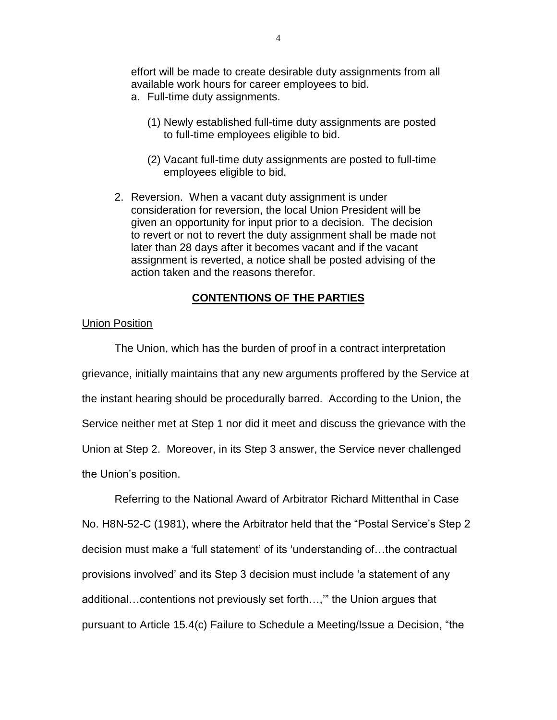effort will be made to create desirable duty assignments from all available work hours for career employees to bid.

- a. Full-time duty assignments.
	- (1) Newly established full-time duty assignments are posted to full-time employees eligible to bid.
	- (2) Vacant full-time duty assignments are posted to full-time employees eligible to bid.
- 2. Reversion. When a vacant duty assignment is under consideration for reversion, the local Union President will be given an opportunity for input prior to a decision. The decision to revert or not to revert the duty assignment shall be made not later than 28 days after it becomes vacant and if the vacant assignment is reverted, a notice shall be posted advising of the action taken and the reasons therefor.

### **CONTENTIONS OF THE PARTIES**

### Union Position

The Union, which has the burden of proof in a contract interpretation grievance, initially maintains that any new arguments proffered by the Service at the instant hearing should be procedurally barred. According to the Union, the Service neither met at Step 1 nor did it meet and discuss the grievance with the Union at Step 2. Moreover, in its Step 3 answer, the Service never challenged the Union's position.

Referring to the National Award of Arbitrator Richard Mittenthal in Case No. H8N-52-C (1981), where the Arbitrator held that the "Postal Service's Step 2 decision must make a 'full statement' of its 'understanding of…the contractual provisions involved' and its Step 3 decision must include 'a statement of any additional…contentions not previously set forth…,'" the Union argues that pursuant to Article 15.4(c) Failure to Schedule a Meeting/Issue a Decision, "the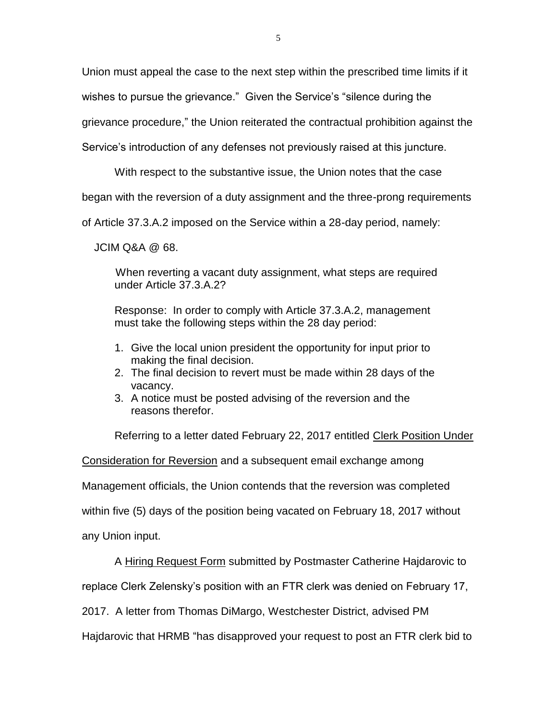Union must appeal the case to the next step within the prescribed time limits if it

wishes to pursue the grievance." Given the Service's "silence during the

grievance procedure," the Union reiterated the contractual prohibition against the

Service's introduction of any defenses not previously raised at this juncture.

With respect to the substantive issue, the Union notes that the case

began with the reversion of a duty assignment and the three-prong requirements

of Article 37.3.A.2 imposed on the Service within a 28-day period, namely:

JCIM Q&A @ 68.

 When reverting a vacant duty assignment, what steps are required under Article 37.3.A.2?

Response: In order to comply with Article 37.3.A.2, management must take the following steps within the 28 day period:

- 1. Give the local union president the opportunity for input prior to making the final decision.
- 2. The final decision to revert must be made within 28 days of the vacancy.
- 3. A notice must be posted advising of the reversion and the reasons therefor.

Referring to a letter dated February 22, 2017 entitled Clerk Position Under

Consideration for Reversion and a subsequent email exchange among

Management officials, the Union contends that the reversion was completed

within five (5) days of the position being vacated on February 18, 2017 without

any Union input.

A Hiring Request Form submitted by Postmaster Catherine Hajdarovic to

replace Clerk Zelensky's position with an FTR clerk was denied on February 17,

2017. A letter from Thomas DiMargo, Westchester District, advised PM

Hajdarovic that HRMB "has disapproved your request to post an FTR clerk bid to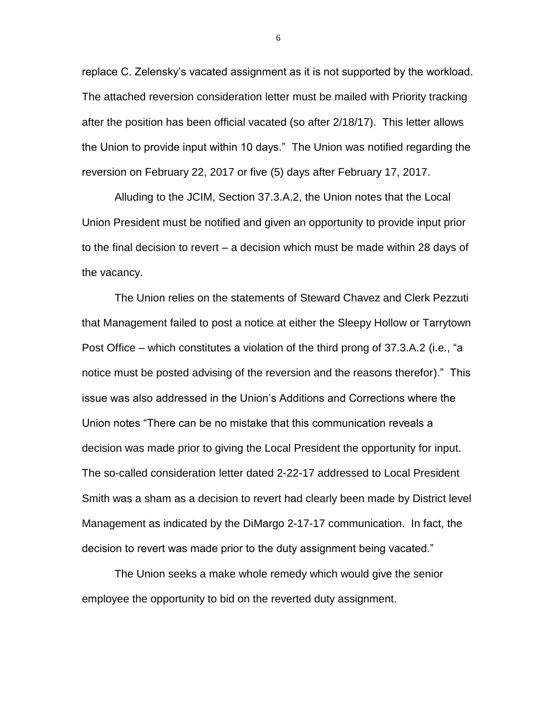replace C. Zelensky's vacated assignment as it is not supported by the workload. The attached reversion consideration letter must be mailed with Priority tracking after the position has been official vacated (so after 2/18/17). This letter allows the Union to provide input within 10 days." The Union was notified regarding the reversion on February 22, 2017 or five (5) days after February 17, 2017.

Alluding to the JCIM, Section 37.3.A.2, the Union notes that the Local Union President must be notified and given an opportunity to provide input prior to the final decision to revert – a decision which must be made within 28 days of the vacancy.

The Union relies on the statements of Steward Chavez and Clerk Pezzuti that Management failed to post a notice at either the Sleepy Hollow or Tarrytown Post Office – which constitutes a violation of the third prong of 37.3.A.2 (i.e., "a notice must be posted advising of the reversion and the reasons therefor)." This issue was also addressed in the Union's Additions and Corrections where the Union notes "There can be no mistake that this communication reveals a decision was made prior to giving the Local President the opportunity for input. The so-called consideration letter dated 2-22-17 addressed to Local President Smith was a sham as a decision to revert had clearly been made by District level Management as indicated by the DiMargo 2-17-17 communication. In fact, the decision to revert was made prior to the duty assignment being vacated."

The Union seeks a make whole remedy which would give the senior employee the opportunity to bid on the reverted duty assignment.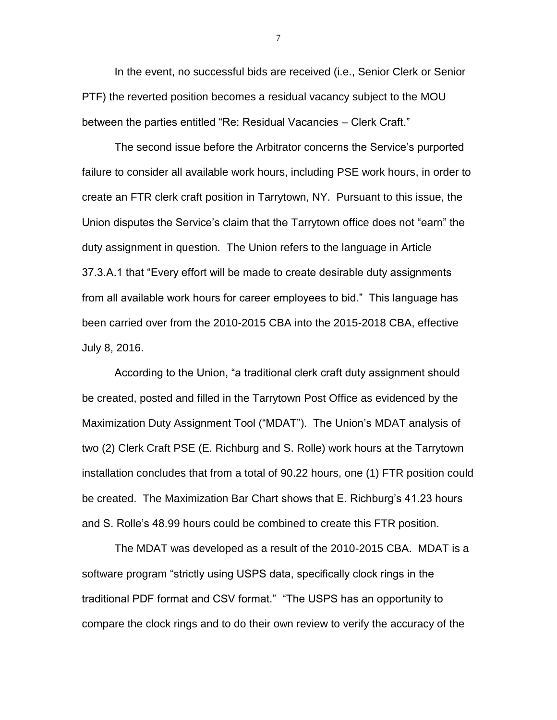In the event, no successful bids are received (i.e., Senior Clerk or Senior PTF) the reverted position becomes a residual vacancy subject to the MOU between the parties entitled "Re: Residual Vacancies – Clerk Craft."

The second issue before the Arbitrator concerns the Service's purported failure to consider all available work hours, including PSE work hours, in order to create an FTR clerk craft position in Tarrytown, NY. Pursuant to this issue, the Union disputes the Service's claim that the Tarrytown office does not "earn" the duty assignment in question. The Union refers to the language in Article 37.3.A.1 that "Every effort will be made to create desirable duty assignments from all available work hours for career employees to bid." This language has been carried over from the 2010-2015 CBA into the 2015-2018 CBA, effective July 8, 2016.

According to the Union, "a traditional clerk craft duty assignment should be created, posted and filled in the Tarrytown Post Office as evidenced by the Maximization Duty Assignment Tool ("MDAT"). The Union's MDAT analysis of two (2) Clerk Craft PSE (E. Richburg and S. Rolle) work hours at the Tarrytown installation concludes that from a total of 90.22 hours, one (1) FTR position could be created. The Maximization Bar Chart shows that E. Richburg's 41.23 hours and S. Rolle's 48.99 hours could be combined to create this FTR position.

The MDAT was developed as a result of the 2010-2015 CBA. MDAT is a software program "strictly using USPS data, specifically clock rings in the traditional PDF format and CSV format." "The USPS has an opportunity to compare the clock rings and to do their own review to verify the accuracy of the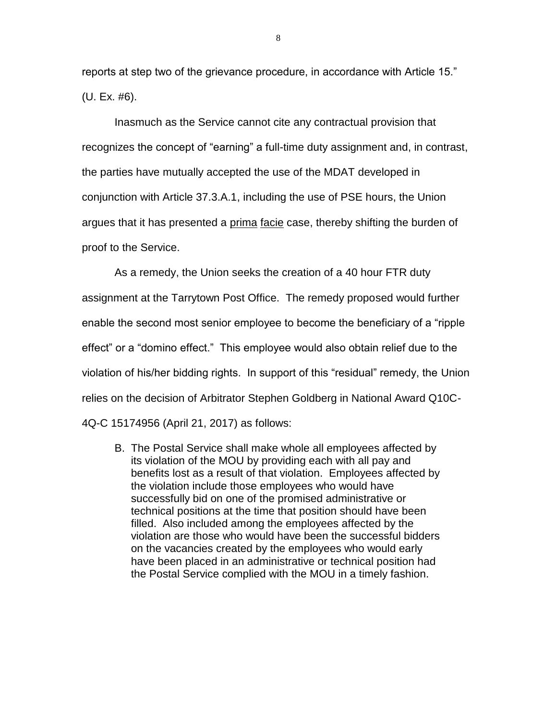reports at step two of the grievance procedure, in accordance with Article 15." (U. Ex. #6).

Inasmuch as the Service cannot cite any contractual provision that recognizes the concept of "earning" a full-time duty assignment and, in contrast, the parties have mutually accepted the use of the MDAT developed in conjunction with Article 37.3.A.1, including the use of PSE hours, the Union argues that it has presented a prima facie case, thereby shifting the burden of proof to the Service.

As a remedy, the Union seeks the creation of a 40 hour FTR duty assignment at the Tarrytown Post Office. The remedy proposed would further enable the second most senior employee to become the beneficiary of a "ripple effect" or a "domino effect." This employee would also obtain relief due to the violation of his/her bidding rights. In support of this "residual" remedy, the Union relies on the decision of Arbitrator Stephen Goldberg in National Award Q10C-4Q-C 15174956 (April 21, 2017) as follows:

B. The Postal Service shall make whole all employees affected by its violation of the MOU by providing each with all pay and benefits lost as a result of that violation. Employees affected by the violation include those employees who would have successfully bid on one of the promised administrative or technical positions at the time that position should have been filled. Also included among the employees affected by the violation are those who would have been the successful bidders on the vacancies created by the employees who would early have been placed in an administrative or technical position had the Postal Service complied with the MOU in a timely fashion.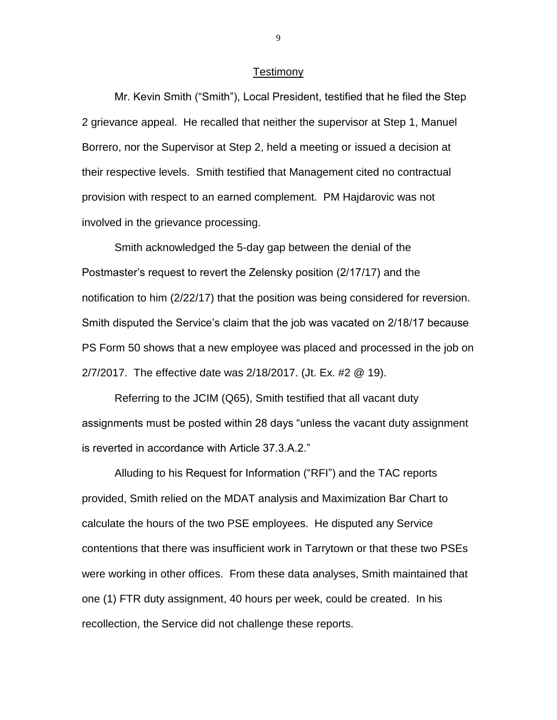#### **Testimony**

Mr. Kevin Smith ("Smith"), Local President, testified that he filed the Step 2 grievance appeal. He recalled that neither the supervisor at Step 1, Manuel Borrero, nor the Supervisor at Step 2, held a meeting or issued a decision at their respective levels. Smith testified that Management cited no contractual provision with respect to an earned complement. PM Hajdarovic was not involved in the grievance processing.

Smith acknowledged the 5-day gap between the denial of the Postmaster's request to revert the Zelensky position (2/17/17) and the notification to him (2/22/17) that the position was being considered for reversion. Smith disputed the Service's claim that the job was vacated on 2/18/17 because PS Form 50 shows that a new employee was placed and processed in the job on 2/7/2017. The effective date was 2/18/2017. (Jt. Ex. #2 @ 19).

Referring to the JCIM (Q65), Smith testified that all vacant duty assignments must be posted within 28 days "unless the vacant duty assignment is reverted in accordance with Article 37.3.A.2."

Alluding to his Request for Information ("RFI") and the TAC reports provided, Smith relied on the MDAT analysis and Maximization Bar Chart to calculate the hours of the two PSE employees. He disputed any Service contentions that there was insufficient work in Tarrytown or that these two PSEs were working in other offices. From these data analyses, Smith maintained that one (1) FTR duty assignment, 40 hours per week, could be created. In his recollection, the Service did not challenge these reports.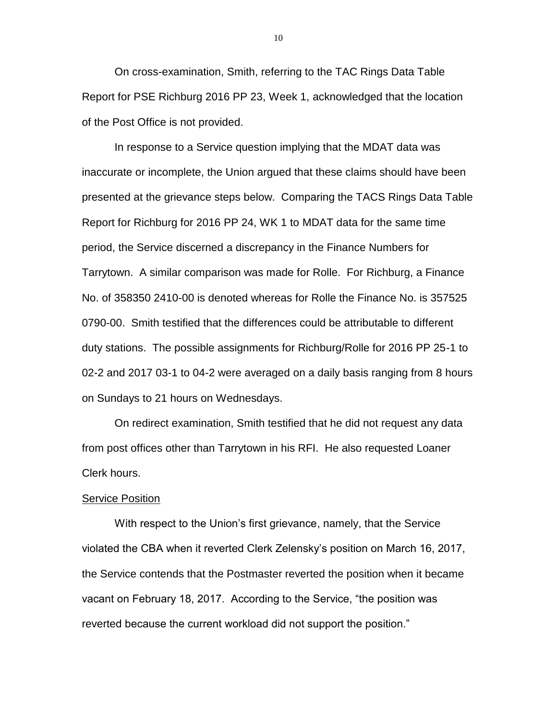On cross-examination, Smith, referring to the TAC Rings Data Table Report for PSE Richburg 2016 PP 23, Week 1, acknowledged that the location of the Post Office is not provided.

In response to a Service question implying that the MDAT data was inaccurate or incomplete, the Union argued that these claims should have been presented at the grievance steps below. Comparing the TACS Rings Data Table Report for Richburg for 2016 PP 24, WK 1 to MDAT data for the same time period, the Service discerned a discrepancy in the Finance Numbers for Tarrytown. A similar comparison was made for Rolle. For Richburg, a Finance No. of 358350 2410-00 is denoted whereas for Rolle the Finance No. is 357525 0790-00. Smith testified that the differences could be attributable to different duty stations. The possible assignments for Richburg/Rolle for 2016 PP 25-1 to 02-2 and 2017 03-1 to 04-2 were averaged on a daily basis ranging from 8 hours on Sundays to 21 hours on Wednesdays.

On redirect examination, Smith testified that he did not request any data from post offices other than Tarrytown in his RFI. He also requested Loaner Clerk hours.

#### Service Position

With respect to the Union's first grievance, namely, that the Service violated the CBA when it reverted Clerk Zelensky's position on March 16, 2017, the Service contends that the Postmaster reverted the position when it became vacant on February 18, 2017. According to the Service, "the position was reverted because the current workload did not support the position."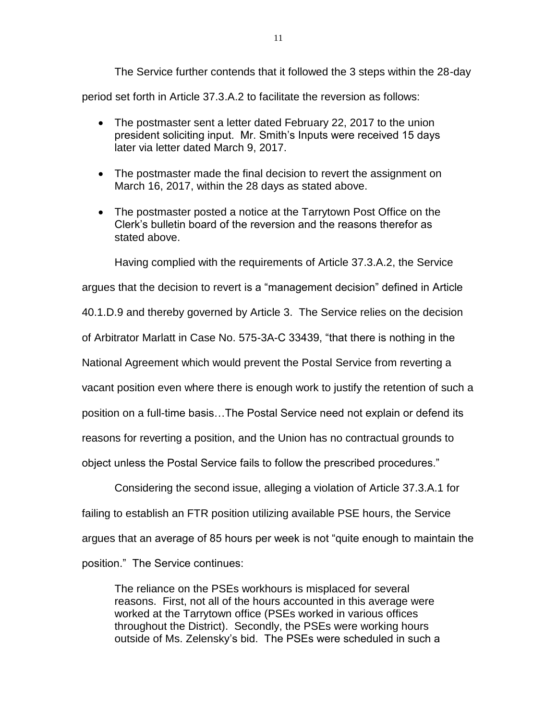The Service further contends that it followed the 3 steps within the 28-day period set forth in Article 37.3.A.2 to facilitate the reversion as follows:

- The postmaster sent a letter dated February 22, 2017 to the union president soliciting input. Mr. Smith's Inputs were received 15 days later via letter dated March 9, 2017.
- The postmaster made the final decision to revert the assignment on March 16, 2017, within the 28 days as stated above.
- The postmaster posted a notice at the Tarrytown Post Office on the Clerk's bulletin board of the reversion and the reasons therefor as stated above.

Having complied with the requirements of Article 37.3.A.2, the Service argues that the decision to revert is a "management decision" defined in Article 40.1.D.9 and thereby governed by Article 3. The Service relies on the decision of Arbitrator Marlatt in Case No. 575-3A-C 33439, "that there is nothing in the National Agreement which would prevent the Postal Service from reverting a vacant position even where there is enough work to justify the retention of such a position on a full-time basis…The Postal Service need not explain or defend its reasons for reverting a position, and the Union has no contractual grounds to object unless the Postal Service fails to follow the prescribed procedures."

Considering the second issue, alleging a violation of Article 37.3.A.1 for failing to establish an FTR position utilizing available PSE hours, the Service argues that an average of 85 hours per week is not "quite enough to maintain the position." The Service continues:

The reliance on the PSEs workhours is misplaced for several reasons. First, not all of the hours accounted in this average were worked at the Tarrytown office (PSEs worked in various offices throughout the District). Secondly, the PSEs were working hours outside of Ms. Zelensky's bid. The PSEs were scheduled in such a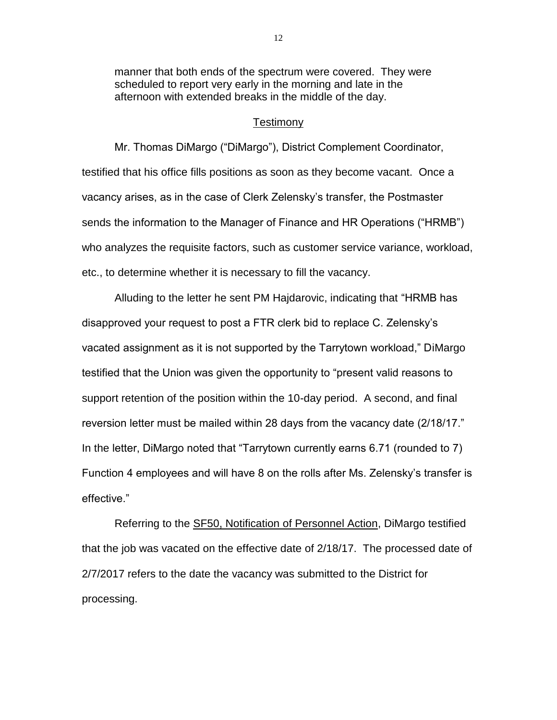manner that both ends of the spectrum were covered. They were scheduled to report very early in the morning and late in the afternoon with extended breaks in the middle of the day.

#### Testimony

Mr. Thomas DiMargo ("DiMargo"), District Complement Coordinator, testified that his office fills positions as soon as they become vacant. Once a vacancy arises, as in the case of Clerk Zelensky's transfer, the Postmaster sends the information to the Manager of Finance and HR Operations ("HRMB") who analyzes the requisite factors, such as customer service variance, workload, etc., to determine whether it is necessary to fill the vacancy.

Alluding to the letter he sent PM Hajdarovic, indicating that "HRMB has disapproved your request to post a FTR clerk bid to replace C. Zelensky's vacated assignment as it is not supported by the Tarrytown workload," DiMargo testified that the Union was given the opportunity to "present valid reasons to support retention of the position within the 10-day period. A second, and final reversion letter must be mailed within 28 days from the vacancy date (2/18/17." In the letter, DiMargo noted that "Tarrytown currently earns 6.71 (rounded to 7) Function 4 employees and will have 8 on the rolls after Ms. Zelensky's transfer is effective."

Referring to the SF50, Notification of Personnel Action, DiMargo testified that the job was vacated on the effective date of 2/18/17. The processed date of 2/7/2017 refers to the date the vacancy was submitted to the District for processing.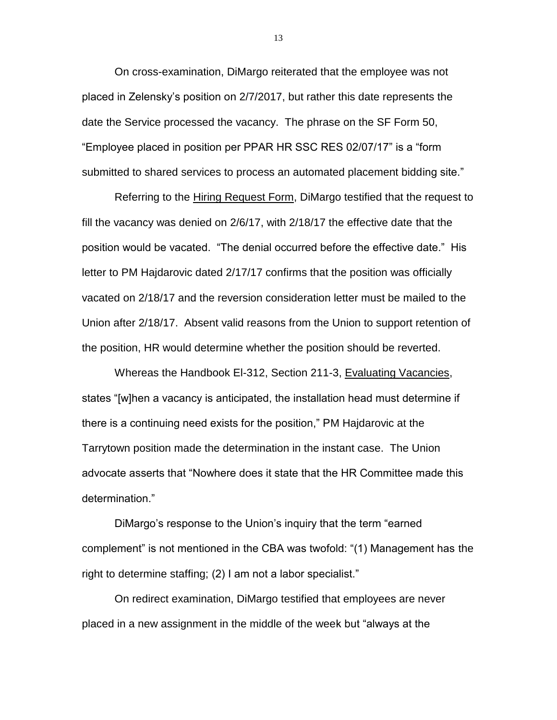On cross-examination, DiMargo reiterated that the employee was not placed in Zelensky's position on 2/7/2017, but rather this date represents the date the Service processed the vacancy. The phrase on the SF Form 50, "Employee placed in position per PPAR HR SSC RES 02/07/17" is a "form submitted to shared services to process an automated placement bidding site."

Referring to the Hiring Request Form, DiMargo testified that the request to fill the vacancy was denied on 2/6/17, with 2/18/17 the effective date that the position would be vacated. "The denial occurred before the effective date." His letter to PM Hajdarovic dated 2/17/17 confirms that the position was officially vacated on 2/18/17 and the reversion consideration letter must be mailed to the Union after 2/18/17. Absent valid reasons from the Union to support retention of the position, HR would determine whether the position should be reverted.

Whereas the Handbook El-312, Section 211-3, Evaluating Vacancies, states "[w]hen a vacancy is anticipated, the installation head must determine if there is a continuing need exists for the position," PM Hajdarovic at the Tarrytown position made the determination in the instant case. The Union advocate asserts that "Nowhere does it state that the HR Committee made this determination."

DiMargo's response to the Union's inquiry that the term "earned complement" is not mentioned in the CBA was twofold: "(1) Management has the right to determine staffing; (2) I am not a labor specialist."

On redirect examination, DiMargo testified that employees are never placed in a new assignment in the middle of the week but "always at the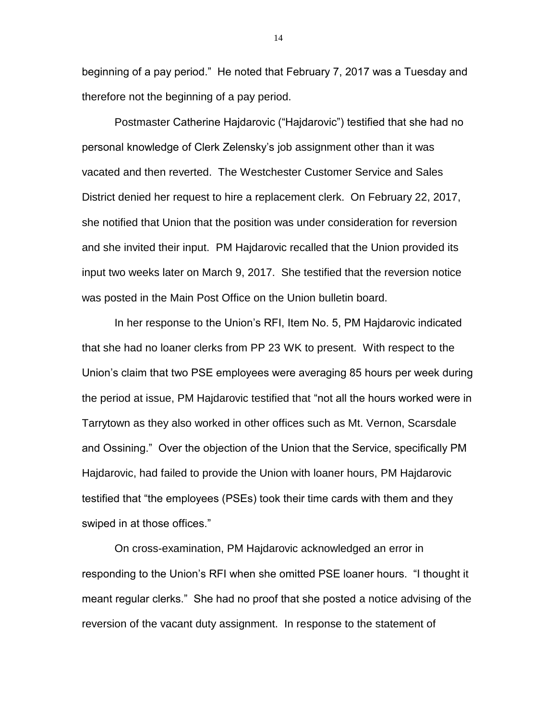beginning of a pay period." He noted that February 7, 2017 was a Tuesday and therefore not the beginning of a pay period.

Postmaster Catherine Hajdarovic ("Hajdarovic") testified that she had no personal knowledge of Clerk Zelensky's job assignment other than it was vacated and then reverted. The Westchester Customer Service and Sales District denied her request to hire a replacement clerk. On February 22, 2017, she notified that Union that the position was under consideration for reversion and she invited their input. PM Hajdarovic recalled that the Union provided its input two weeks later on March 9, 2017. She testified that the reversion notice was posted in the Main Post Office on the Union bulletin board.

In her response to the Union's RFI, Item No. 5, PM Hajdarovic indicated that she had no loaner clerks from PP 23 WK to present. With respect to the Union's claim that two PSE employees were averaging 85 hours per week during the period at issue, PM Hajdarovic testified that "not all the hours worked were in Tarrytown as they also worked in other offices such as Mt. Vernon, Scarsdale and Ossining." Over the objection of the Union that the Service, specifically PM Hajdarovic, had failed to provide the Union with loaner hours, PM Hajdarovic testified that "the employees (PSEs) took their time cards with them and they swiped in at those offices."

On cross-examination, PM Hajdarovic acknowledged an error in responding to the Union's RFI when she omitted PSE loaner hours. "I thought it meant regular clerks." She had no proof that she posted a notice advising of the reversion of the vacant duty assignment. In response to the statement of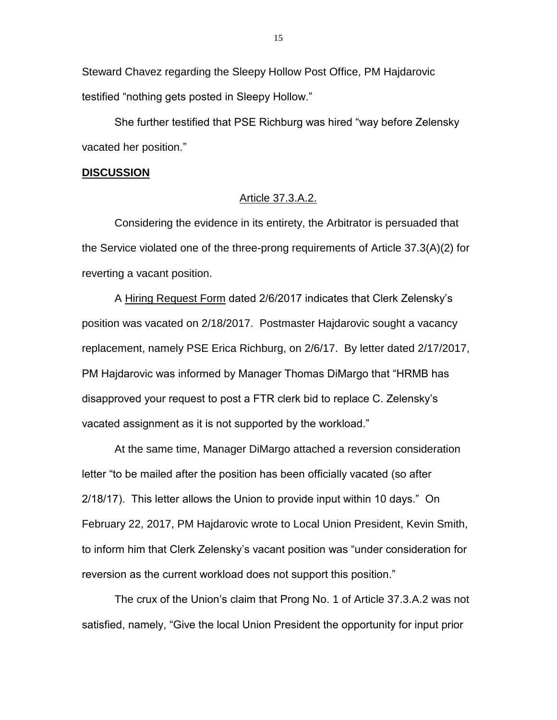Steward Chavez regarding the Sleepy Hollow Post Office, PM Hajdarovic testified "nothing gets posted in Sleepy Hollow."

She further testified that PSE Richburg was hired "way before Zelensky vacated her position."

#### **DISCUSSION**

### Article 37.3.A.2.

Considering the evidence in its entirety, the Arbitrator is persuaded that the Service violated one of the three-prong requirements of Article 37.3(A)(2) for reverting a vacant position.

A Hiring Request Form dated 2/6/2017 indicates that Clerk Zelensky's position was vacated on 2/18/2017. Postmaster Hajdarovic sought a vacancy replacement, namely PSE Erica Richburg, on 2/6/17. By letter dated 2/17/2017, PM Hajdarovic was informed by Manager Thomas DiMargo that "HRMB has disapproved your request to post a FTR clerk bid to replace C. Zelensky's vacated assignment as it is not supported by the workload."

At the same time, Manager DiMargo attached a reversion consideration letter "to be mailed after the position has been officially vacated (so after 2/18/17). This letter allows the Union to provide input within 10 days." On February 22, 2017, PM Hajdarovic wrote to Local Union President, Kevin Smith, to inform him that Clerk Zelensky's vacant position was "under consideration for reversion as the current workload does not support this position."

The crux of the Union's claim that Prong No. 1 of Article 37.3.A.2 was not satisfied, namely, "Give the local Union President the opportunity for input prior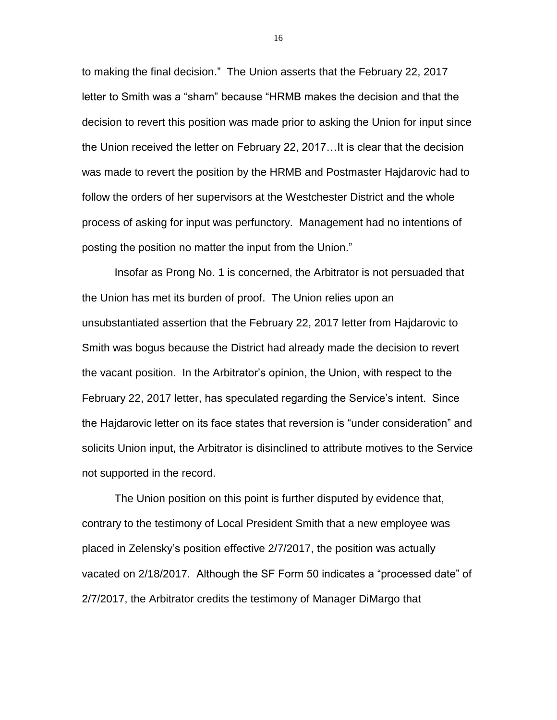to making the final decision." The Union asserts that the February 22, 2017 letter to Smith was a "sham" because "HRMB makes the decision and that the decision to revert this position was made prior to asking the Union for input since the Union received the letter on February 22, 2017…It is clear that the decision was made to revert the position by the HRMB and Postmaster Hajdarovic had to follow the orders of her supervisors at the Westchester District and the whole process of asking for input was perfunctory. Management had no intentions of posting the position no matter the input from the Union."

Insofar as Prong No. 1 is concerned, the Arbitrator is not persuaded that the Union has met its burden of proof. The Union relies upon an unsubstantiated assertion that the February 22, 2017 letter from Hajdarovic to Smith was bogus because the District had already made the decision to revert the vacant position. In the Arbitrator's opinion, the Union, with respect to the February 22, 2017 letter, has speculated regarding the Service's intent. Since the Hajdarovic letter on its face states that reversion is "under consideration" and solicits Union input, the Arbitrator is disinclined to attribute motives to the Service not supported in the record.

The Union position on this point is further disputed by evidence that, contrary to the testimony of Local President Smith that a new employee was placed in Zelensky's position effective 2/7/2017, the position was actually vacated on 2/18/2017. Although the SF Form 50 indicates a "processed date" of 2/7/2017, the Arbitrator credits the testimony of Manager DiMargo that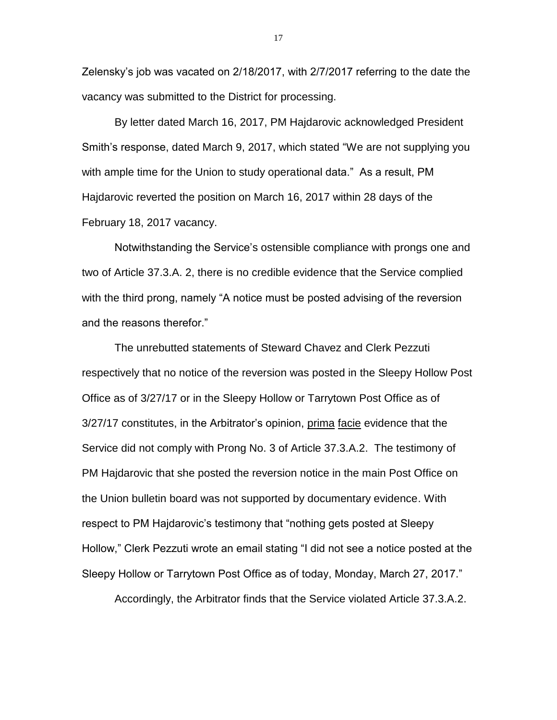Zelensky's job was vacated on 2/18/2017, with 2/7/2017 referring to the date the vacancy was submitted to the District for processing.

By letter dated March 16, 2017, PM Hajdarovic acknowledged President Smith's response, dated March 9, 2017, which stated "We are not supplying you with ample time for the Union to study operational data." As a result, PM Hajdarovic reverted the position on March 16, 2017 within 28 days of the February 18, 2017 vacancy.

Notwithstanding the Service's ostensible compliance with prongs one and two of Article 37.3.A. 2, there is no credible evidence that the Service complied with the third prong, namely "A notice must be posted advising of the reversion and the reasons therefor."

The unrebutted statements of Steward Chavez and Clerk Pezzuti respectively that no notice of the reversion was posted in the Sleepy Hollow Post Office as of 3/27/17 or in the Sleepy Hollow or Tarrytown Post Office as of 3/27/17 constitutes, in the Arbitrator's opinion, prima facie evidence that the Service did not comply with Prong No. 3 of Article 37.3.A.2. The testimony of PM Hajdarovic that she posted the reversion notice in the main Post Office on the Union bulletin board was not supported by documentary evidence. With respect to PM Hajdarovic's testimony that "nothing gets posted at Sleepy Hollow," Clerk Pezzuti wrote an email stating "I did not see a notice posted at the Sleepy Hollow or Tarrytown Post Office as of today, Monday, March 27, 2017."

Accordingly, the Arbitrator finds that the Service violated Article 37.3.A.2.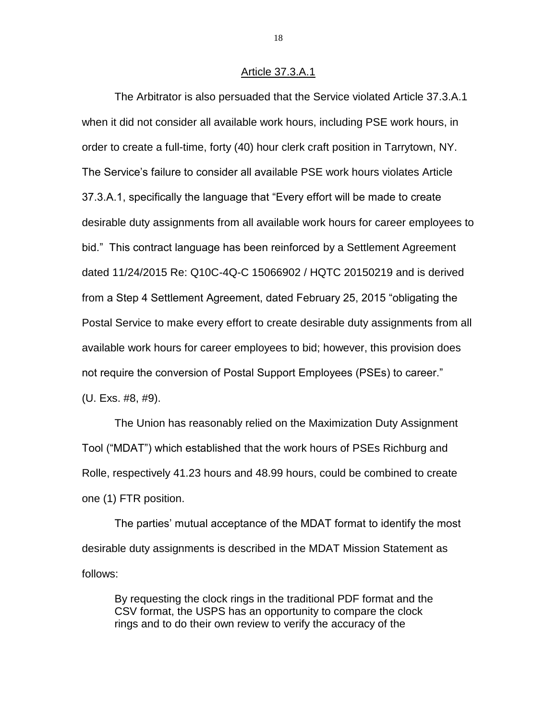#### Article 37.3.A.1

The Arbitrator is also persuaded that the Service violated Article 37.3.A.1 when it did not consider all available work hours, including PSE work hours, in order to create a full-time, forty (40) hour clerk craft position in Tarrytown, NY. The Service's failure to consider all available PSE work hours violates Article 37.3.A.1, specifically the language that "Every effort will be made to create desirable duty assignments from all available work hours for career employees to bid." This contract language has been reinforced by a Settlement Agreement dated 11/24/2015 Re: Q10C-4Q-C 15066902 / HQTC 20150219 and is derived from a Step 4 Settlement Agreement, dated February 25, 2015 "obligating the Postal Service to make every effort to create desirable duty assignments from all available work hours for career employees to bid; however, this provision does not require the conversion of Postal Support Employees (PSEs) to career." (U. Exs. #8, #9).

The Union has reasonably relied on the Maximization Duty Assignment Tool ("MDAT") which established that the work hours of PSEs Richburg and Rolle, respectively 41.23 hours and 48.99 hours, could be combined to create one (1) FTR position.

The parties' mutual acceptance of the MDAT format to identify the most desirable duty assignments is described in the MDAT Mission Statement as follows:

By requesting the clock rings in the traditional PDF format and the CSV format, the USPS has an opportunity to compare the clock rings and to do their own review to verify the accuracy of the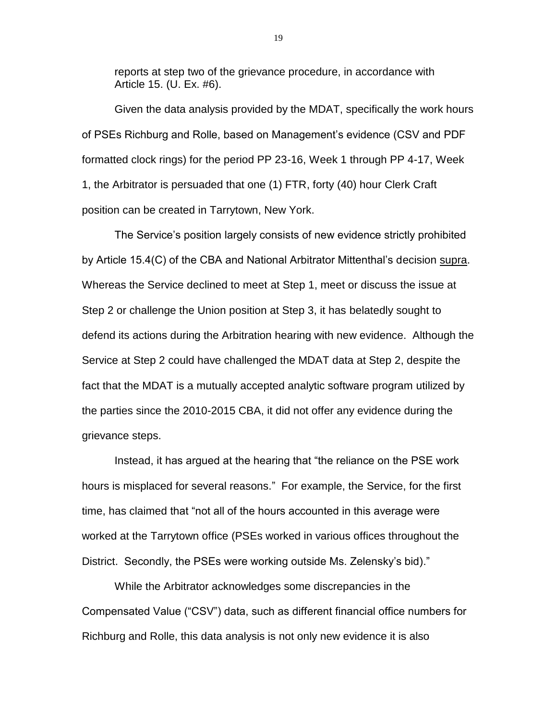reports at step two of the grievance procedure, in accordance with Article 15. (U. Ex. #6).

Given the data analysis provided by the MDAT, specifically the work hours of PSEs Richburg and Rolle, based on Management's evidence (CSV and PDF formatted clock rings) for the period PP 23-16, Week 1 through PP 4-17, Week 1, the Arbitrator is persuaded that one (1) FTR, forty (40) hour Clerk Craft position can be created in Tarrytown, New York.

The Service's position largely consists of new evidence strictly prohibited by Article 15.4(C) of the CBA and National Arbitrator Mittenthal's decision supra. Whereas the Service declined to meet at Step 1, meet or discuss the issue at Step 2 or challenge the Union position at Step 3, it has belatedly sought to defend its actions during the Arbitration hearing with new evidence. Although the Service at Step 2 could have challenged the MDAT data at Step 2, despite the fact that the MDAT is a mutually accepted analytic software program utilized by the parties since the 2010-2015 CBA, it did not offer any evidence during the grievance steps.

Instead, it has argued at the hearing that "the reliance on the PSE work hours is misplaced for several reasons." For example, the Service, for the first time, has claimed that "not all of the hours accounted in this average were worked at the Tarrytown office (PSEs worked in various offices throughout the District. Secondly, the PSEs were working outside Ms. Zelensky's bid)."

While the Arbitrator acknowledges some discrepancies in the Compensated Value ("CSV") data, such as different financial office numbers for Richburg and Rolle, this data analysis is not only new evidence it is also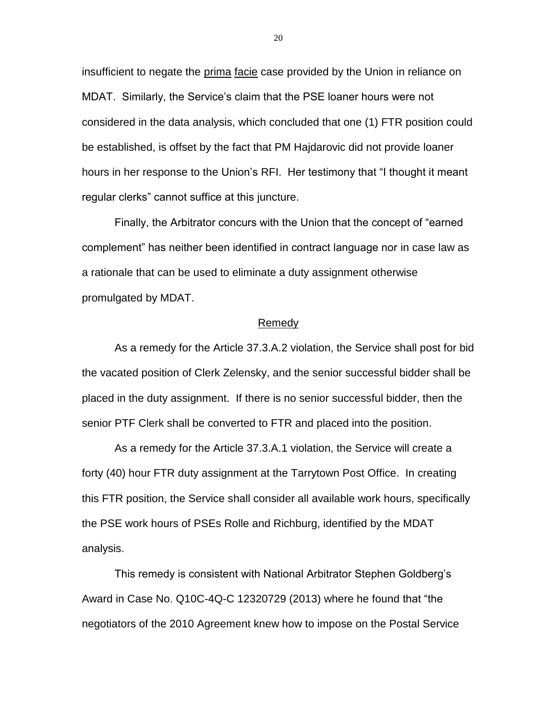insufficient to negate the prima facie case provided by the Union in reliance on MDAT. Similarly, the Service's claim that the PSE loaner hours were not considered in the data analysis, which concluded that one (1) FTR position could be established, is offset by the fact that PM Hajdarovic did not provide loaner hours in her response to the Union's RFI. Her testimony that "I thought it meant regular clerks" cannot suffice at this juncture.

Finally, the Arbitrator concurs with the Union that the concept of "earned complement" has neither been identified in contract language nor in case law as a rationale that can be used to eliminate a duty assignment otherwise promulgated by MDAT.

#### Remedy

As a remedy for the Article 37.3.A.2 violation, the Service shall post for bid the vacated position of Clerk Zelensky, and the senior successful bidder shall be placed in the duty assignment. If there is no senior successful bidder, then the senior PTF Clerk shall be converted to FTR and placed into the position.

As a remedy for the Article 37.3.A.1 violation, the Service will create a forty (40) hour FTR duty assignment at the Tarrytown Post Office. In creating this FTR position, the Service shall consider all available work hours, specifically the PSE work hours of PSEs Rolle and Richburg, identified by the MDAT analysis.

This remedy is consistent with National Arbitrator Stephen Goldberg's Award in Case No. Q10C-4Q-C 12320729 (2013) where he found that "the negotiators of the 2010 Agreement knew how to impose on the Postal Service